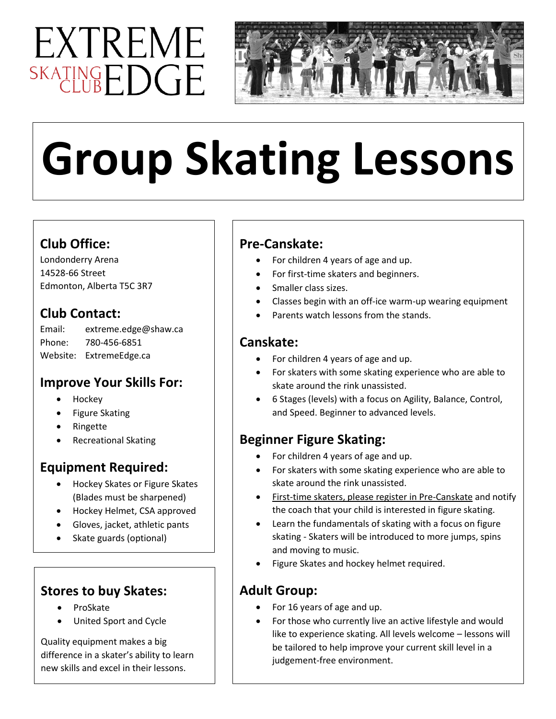## EXTREME SKATINGEDGE



# **Group Skating Lessons**

## **Club Office:**

Londonderry Arena 14528-66 Street Edmonton, Alberta T5C 3R7

## **Club Contact:**

| Email: | extreme.edge@shaw.ca    |
|--------|-------------------------|
| Phone: | 780-456-6851            |
|        | Website: ExtremeEdge.ca |

## **Improve Your Skills For:**

- Hockey
- Figure Skating
- Ringette
- Recreational Skating

## **Equipment Required:**

- Hockey Skates or Figure Skates (Blades must be sharpened)
- Hockey Helmet, CSA approved
- Gloves, jacket, athletic pants
- Skate guards (optional)

## **Stores to buy Skates:**

- ProSkate
- United Sport and Cycle

Quality equipment makes a big difference in a skater's ability to learn new skills and excel in their lessons.

## **Pre-Canskate:**

- For children 4 years of age and up.
- For first-time skaters and beginners.
- Smaller class sizes.
- Classes begin with an off-ice warm-up wearing equipment
- Parents watch lessons from the stands.

## **Canskate:**

- For children 4 years of age and up.
- For skaters with some skating experience who are able to skate around the rink unassisted.
- 6 Stages (levels) with a focus on Agility, Balance, Control, and Speed. Beginner to advanced levels.

## **Beginner Figure Skating:**

- For children 4 years of age and up.
- For skaters with some skating experience who are able to skate around the rink unassisted.
- First-time skaters, please register in Pre-Canskate and notify the coach that your child is interested in figure skating.
- Learn the fundamentals of skating with a focus on figure skating - Skaters will be introduced to more jumps, spins and moving to music.
- Figure Skates and hockey helmet required.

## **Adult Group:**

- For 16 years of age and up.
- For those who currently live an active lifestyle and would like to experience skating. All levels welcome – lessons will be tailored to help improve your current skill level in a judgement-free environment.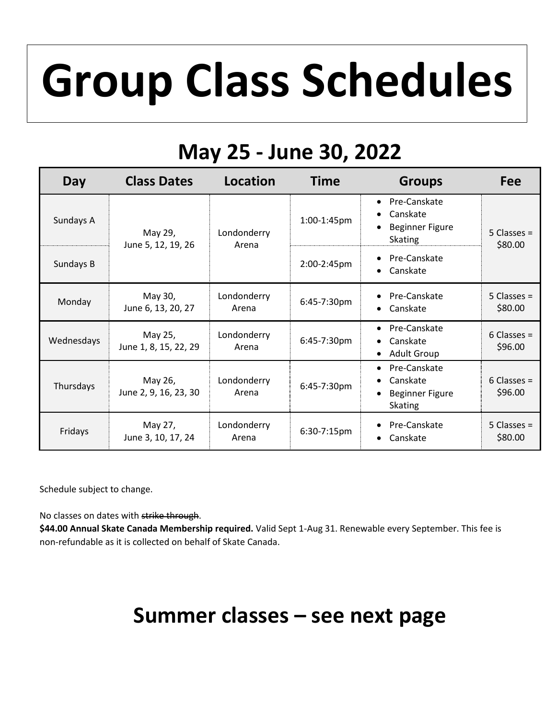## **Group Class Schedules**

## **May 25 - June 30, 2022**

| Day        | <b>Class Dates</b>               | Location             | <b>Time</b> | <b>Groups</b>                                                                                               | Fee                      |
|------------|----------------------------------|----------------------|-------------|-------------------------------------------------------------------------------------------------------------|--------------------------|
| Sundays A  | May 29,<br>June 5, 12, 19, 26    | Londonderry<br>Arena | 1:00-1:45pm | Pre-Canskate<br>$\bullet$<br>Canskate<br>$\bullet$<br><b>Beginner Figure</b><br>$\bullet$<br><b>Skating</b> | $5$ Classes =<br>\$80.00 |
| Sundays B  |                                  |                      | 2:00-2:45pm | Pre-Canskate<br>$\bullet$<br>Canskate<br>$\bullet$                                                          |                          |
| Monday     | May 30,<br>June 6, 13, 20, 27    | Londonderry<br>Arena | 6:45-7:30pm | Pre-Canskate<br>Canskate                                                                                    | $5$ Classes =<br>\$80.00 |
| Wednesdays | May 25,<br>June 1, 8, 15, 22, 29 | Londonderry<br>Arena | 6:45-7:30pm | Pre-Canskate<br>$\bullet$<br>Canskate<br>$\bullet$<br><b>Adult Group</b><br>$\bullet$                       | $6$ Classes =<br>\$96.00 |
| Thursdays  | May 26,<br>June 2, 9, 16, 23, 30 | Londonderry<br>Arena | 6:45-7:30pm | Pre-Canskate<br>$\bullet$<br>Canskate<br>$\bullet$<br><b>Beginner Figure</b><br><b>Skating</b>              | $6$ Classes =<br>\$96.00 |
| Fridays    | May 27,<br>June 3, 10, 17, 24    | Londonderry<br>Arena | 6:30-7:15pm | Pre-Canskate<br>$\bullet$<br>Canskate<br>$\bullet$                                                          | $5$ Classes =<br>\$80.00 |

Schedule subject to change.

No classes on dates with strike through.

**\$44.00 Annual Skate Canada Membership required.** Valid Sept 1-Aug 31. Renewable every September. This fee is non-refundable as it is collected on behalf of Skate Canada.

## **Summer classes – see next page**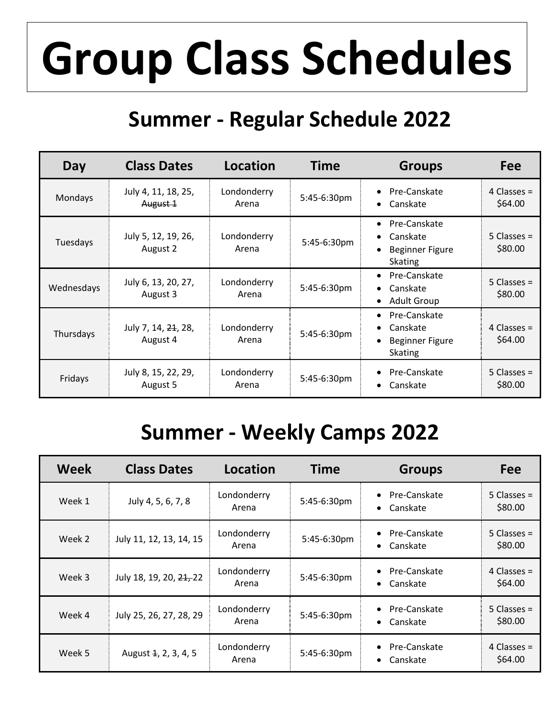## **Group Class Schedules**

## **Summer - Regular Schedule 2022**

| Day        | <b>Class Dates</b>              | Location             | <b>Time</b> | <b>Groups</b>                                                                                  | Fee                      |
|------------|---------------------------------|----------------------|-------------|------------------------------------------------------------------------------------------------|--------------------------|
| Mondays    | July 4, 11, 18, 25,<br>August 1 | Londonderry<br>Arena | 5:45-6:30pm | Pre-Canskate<br>$\bullet$<br>Canskate<br>$\bullet$                                             | 4 Classes $=$<br>\$64.00 |
| Tuesdays   | July 5, 12, 19, 26,<br>August 2 | Londonderry<br>Arena | 5:45-6:30pm | Pre-Canskate<br>٠<br>Canskate<br>$\bullet$<br><b>Beginner Figure</b><br><b>Skating</b>         | $5$ Classes =<br>\$80.00 |
| Wednesdays | July 6, 13, 20, 27,<br>August 3 | Londonderry<br>Arena | 5:45-6:30pm | Pre-Canskate<br>$\bullet$<br>Canskate<br><b>Adult Group</b><br>$\bullet$                       | $5$ Classes =<br>\$80.00 |
| Thursdays  | July 7, 14, 24, 28,<br>August 4 | Londonderry<br>Arena | 5:45-6:30pm | Pre-Canskate<br>$\bullet$<br>Canskate<br>$\bullet$<br><b>Beginner Figure</b><br><b>Skating</b> | 4 Classes $=$<br>\$64.00 |
| Fridays    | July 8, 15, 22, 29,<br>August 5 | Londonderry<br>Arena | 5:45-6:30pm | Pre-Canskate<br>Canskate<br>$\bullet$                                                          | $5$ Classes =<br>\$80.00 |

## **Summer - Weekly Camps 2022**

| <b>Week</b> | <b>Class Dates</b>      | <b>Location</b>      | <b>Time</b> | <b>Groups</b>                                      | Fee                      |
|-------------|-------------------------|----------------------|-------------|----------------------------------------------------|--------------------------|
| Week 1      | July 4, 5, 6, 7, 8      | Londonderry<br>Arena | 5:45-6:30pm | Pre-Canskate<br>$\bullet$<br>Canskate<br>$\bullet$ | $5$ Classes =<br>\$80.00 |
| Week 2      | July 11, 12, 13, 14, 15 | Londonderry<br>Arena | 5:45-6:30pm | Pre-Canskate<br>$\bullet$<br>Canskate<br>٠         | $5$ Classes =<br>\$80.00 |
| Week 3      | July 18, 19, 20, 21, 22 | Londonderry<br>Arena | 5:45-6:30pm | Pre-Canskate<br>$\bullet$<br>Canskate<br>$\bullet$ | 4 Classes $=$<br>\$64.00 |
| Week 4      | July 25, 26, 27, 28, 29 | Londonderry<br>Arena | 5:45-6:30pm | Pre-Canskate<br>$\bullet$<br>Canskate<br>٠         | 5 Classes $=$<br>\$80.00 |
| Week 5      | August 4, 2, 3, 4, 5    | Londonderry<br>Arena | 5:45-6:30pm | Pre-Canskate<br>$\bullet$<br>Canskate<br>$\bullet$ | 4 Classes $=$<br>\$64.00 |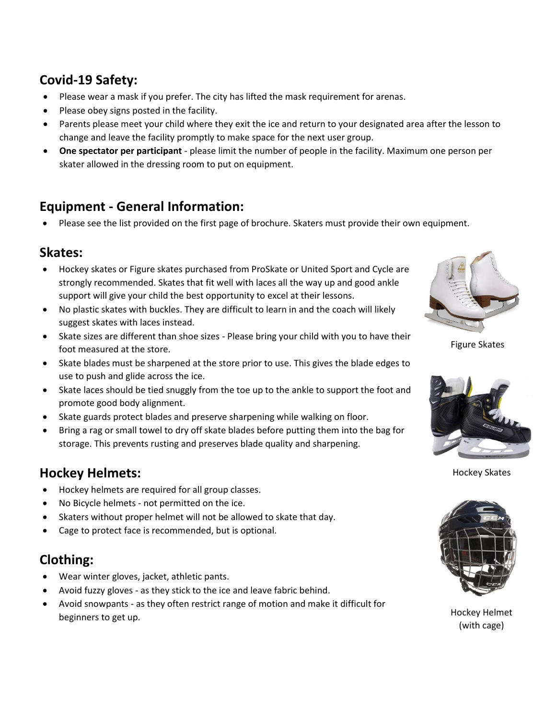## **Covid-19 Safety:**

- Please wear a mask if you prefer. The city has lifted the mask requirement for arenas.
- Please obey signs posted in the facility.
- Parents please meet your child where they exit the ice and return to your designated area after the lesson to change and leave the facility promptly to make space for the next user group.
- **One spectator per participant** please limit the number of people in the facility. Maximum one person per skater allowed in the dressing room to put on equipment.

## **Equipment - General Information:**

• Please see the list provided on the first page of brochure. Skaters must provide their own equipment.

## **Skates:**

- Hockey skates or Figure skates purchased from ProSkate or United Sport and Cycle are strongly recommended. Skates that fit well with laces all the way up and good ankle support will give your child the best opportunity to excel at their lessons.
- No plastic skates with buckles. They are difficult to learn in and the coach will likely suggest skates with laces instead.
- Skate sizes are different than shoe sizes Please bring your child with you to have their foot measured at the store.
- Skate blades must be sharpened at the store prior to use. This gives the blade edges to use to push and glide across the ice.
- Skate laces should be tied snuggly from the toe up to the ankle to support the foot and promote good body alignment.
- Skate guards protect blades and preserve sharpening while walking on floor.
- Bring a rag or small towel to dry off skate blades before putting them into the bag for storage. This prevents rusting and preserves blade quality and sharpening.

## **Hockey Helmets:**

- Hockey helmets are required for all group classes.
- No Bicycle helmets not permitted on the ice.
- Skaters without proper helmet will not be allowed to skate that day.
- Cage to protect face is recommended, but is optional.

## **Clothing:**

- Wear winter gloves, jacket, athletic pants.
- Avoid fuzzy gloves as they stick to the ice and leave fabric behind.
- Avoid snowpants as they often restrict range of motion and make it difficult for beginners to get up.



Figure Skates



Hockey Skates



Hockey Helmet (with cage)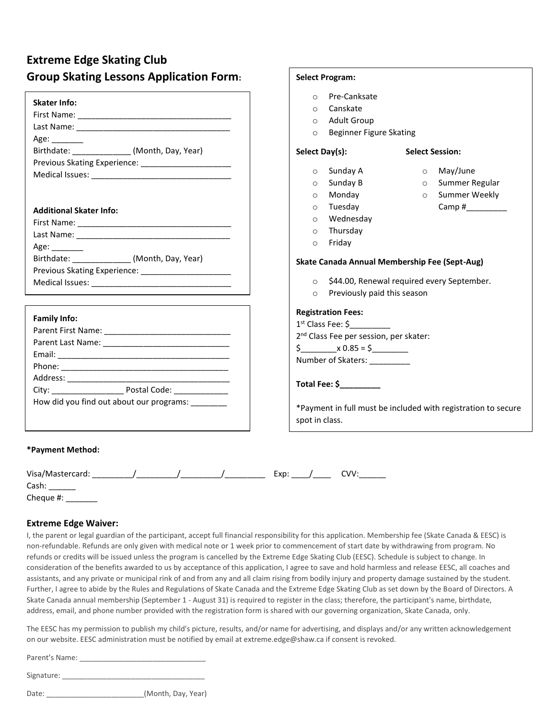## **Extreme Edge Skating Club Group Skating Lessons Application Form:**

| Pre-Canksate<br>$\circ$       |                                                                                                                                                                                                                                                                   |
|-------------------------------|-------------------------------------------------------------------------------------------------------------------------------------------------------------------------------------------------------------------------------------------------------------------|
| Canskate<br>$\circ$           |                                                                                                                                                                                                                                                                   |
| <b>Adult Group</b><br>$\circ$ |                                                                                                                                                                                                                                                                   |
| $\circ$                       |                                                                                                                                                                                                                                                                   |
|                               | <b>Select Session:</b>                                                                                                                                                                                                                                            |
|                               |                                                                                                                                                                                                                                                                   |
| Sunday A<br>$\circ$           | May/June<br>$\circ$                                                                                                                                                                                                                                               |
| Sunday B<br>$\circ$           | Summer Regular<br>$\circ$                                                                                                                                                                                                                                         |
| Monday<br>$\circ$             | o Summer Weekly                                                                                                                                                                                                                                                   |
| Tuesday<br>$\circ$            | Camp # $\frac{1}{2}$                                                                                                                                                                                                                                              |
| Wednesday<br>$\circ$          |                                                                                                                                                                                                                                                                   |
| Thursday<br>$\circ$           |                                                                                                                                                                                                                                                                   |
| Friday<br>$\circ$             |                                                                                                                                                                                                                                                                   |
|                               |                                                                                                                                                                                                                                                                   |
|                               |                                                                                                                                                                                                                                                                   |
|                               | ○ \$44.00, Renewal required every September.                                                                                                                                                                                                                      |
| o Previously paid this season |                                                                                                                                                                                                                                                                   |
|                               |                                                                                                                                                                                                                                                                   |
|                               |                                                                                                                                                                                                                                                                   |
|                               |                                                                                                                                                                                                                                                                   |
|                               |                                                                                                                                                                                                                                                                   |
|                               |                                                                                                                                                                                                                                                                   |
|                               |                                                                                                                                                                                                                                                                   |
|                               |                                                                                                                                                                                                                                                                   |
|                               |                                                                                                                                                                                                                                                                   |
|                               | *Payment in full must be included with registration to secure                                                                                                                                                                                                     |
| spot in class.                |                                                                                                                                                                                                                                                                   |
|                               | <b>Beginner Figure Skating</b><br>Select Day(s):<br>Skate Canada Annual Membership Fee (Sept-Aug)<br><b>Registration Fees:</b><br>$1st$ Class Fee: \$<br>2 <sup>nd</sup> Class Fee per session, per skater:<br>$\sin 2\theta = 5$<br>Number of Skaters: _________ |

**Select Program:**

| Visa<br>.<br>/ IVIdSLEI CdI U. |  |  | .<br>- - - |  |  |
|--------------------------------|--|--|------------|--|--|
| $\sim$ $\sim$                  |  |  |            |  |  |

Cash: \_\_\_\_\_\_ Cheque #: \_\_\_\_\_\_\_

#### **Extreme Edge Waiver:**

I, the parent or legal guardian of the participant, accept full financial responsibility for this application. Membership fee (Skate Canada & EESC) is non-refundable. Refunds are only given with medical note or 1 week prior to commencement of start date by withdrawing from program. No refunds or credits will be issued unless the program is cancelled by the Extreme Edge Skating Club (EESC). Schedule is subject to change. In consideration of the benefits awarded to us by acceptance of this application, I agree to save and hold harmless and release EESC, all coaches and assistants, and any private or municipal rink of and from any and all claim rising from bodily injury and property damage sustained by the student. Further, I agree to abide by the Rules and Regulations of Skate Canada and the Extreme Edge Skating Club as set down by the Board of Directors. A Skate Canada annual membership (September 1 - August 31) is required to register in the class; therefore, the participant's name, birthdate, address, email, and phone number provided with the registration form is shared with our governing organization, Skate Canada, only.

The EESC has my permission to publish my child's picture, results, and/or name for advertising, and displays and/or any written acknowledgement on our website. EESC administration must be notified by email at extreme.edge@shaw.ca if consent is revoked.

Parent's Name: \_\_\_\_\_\_\_\_\_\_\_\_\_\_\_\_\_\_\_\_\_\_\_\_\_\_\_\_\_\_\_

Signature:

| Date: | (Month, Day, Year) |  |
|-------|--------------------|--|
|       |                    |  |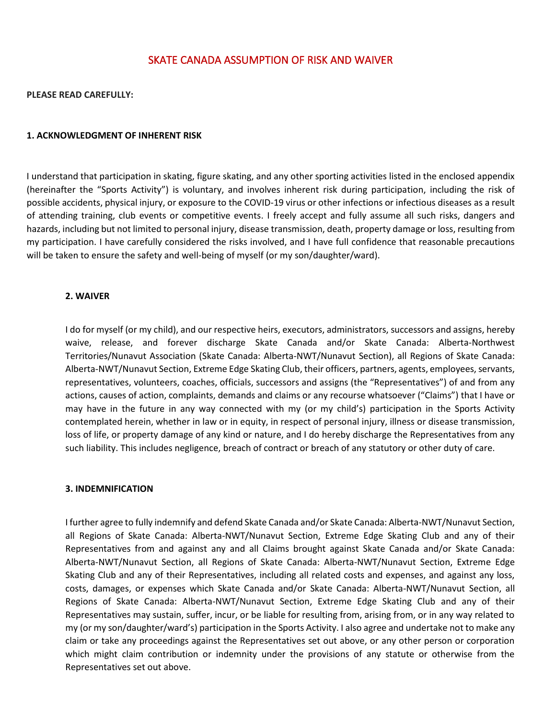### SKATE CANADA ASSUMPTION OF RISK AND WAIVER

**PLEASE READ CAREFULLY:**

#### **1. ACKNOWLEDGMENT OF INHERENT RISK**

I understand that participation in skating, figure skating, and any other sporting activities listed in the enclosed appendix (hereinafter the "Sports Activity") is voluntary, and involves inherent risk during participation, including the risk of possible accidents, physical injury, or exposure to the COVID-19 virus or other infections or infectious diseases as a result of attending training, club events or competitive events. I freely accept and fully assume all such risks, dangers and hazards, including but not limited to personal injury, disease transmission, death, property damage or loss, resulting from my participation. I have carefully considered the risks involved, and I have full confidence that reasonable precautions will be taken to ensure the safety and well-being of myself (or my son/daughter/ward).

#### **2. WAIVER**

I do for myself (or my child), and our respective heirs, executors, administrators, successors and assigns, hereby waive, release, and forever discharge Skate Canada and/or Skate Canada: Alberta-Northwest Territories/Nunavut Association (Skate Canada: Alberta-NWT/Nunavut Section), all Regions of Skate Canada: Alberta-NWT/Nunavut Section, Extreme Edge Skating Club, their officers, partners, agents, employees, servants, representatives, volunteers, coaches, officials, successors and assigns (the "Representatives") of and from any actions, causes of action, complaints, demands and claims or any recourse whatsoever ("Claims") that I have or may have in the future in any way connected with my (or my child's) participation in the Sports Activity contemplated herein, whether in law or in equity, in respect of personal injury, illness or disease transmission, loss of life, or property damage of any kind or nature, and I do hereby discharge the Representatives from any such liability. This includes negligence, breach of contract or breach of any statutory or other duty of care.

#### **3. INDEMNIFICATION**

I further agree to fully indemnify and defend Skate Canada and/or Skate Canada: Alberta-NWT/Nunavut Section, all Regions of Skate Canada: Alberta-NWT/Nunavut Section, Extreme Edge Skating Club and any of their Representatives from and against any and all Claims brought against Skate Canada and/or Skate Canada: Alberta-NWT/Nunavut Section, all Regions of Skate Canada: Alberta-NWT/Nunavut Section, Extreme Edge Skating Club and any of their Representatives, including all related costs and expenses, and against any loss, costs, damages, or expenses which Skate Canada and/or Skate Canada: Alberta-NWT/Nunavut Section, all Regions of Skate Canada: Alberta-NWT/Nunavut Section, Extreme Edge Skating Club and any of their Representatives may sustain, suffer, incur, or be liable for resulting from, arising from, or in any way related to my (or my son/daughter/ward's) participation in the Sports Activity. I also agree and undertake not to make any claim or take any proceedings against the Representatives set out above, or any other person or corporation which might claim contribution or indemnity under the provisions of any statute or otherwise from the Representatives set out above.